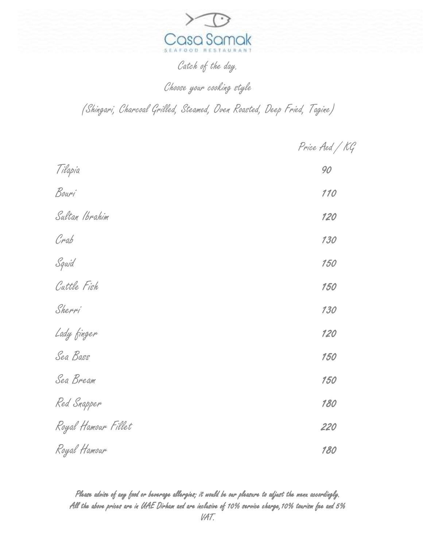

Catch of the day.

Choose your cooking style

(Shingari, Charcoal Grilled, Steamed, Oven Roasted, Deep Fried, Tagine)

Price Aed / KG

| Tilapia             | 90  |
|---------------------|-----|
| Bouri               | 110 |
| Sultan Ibrahim      | 120 |
| Crab                | 130 |
| Squid               | 150 |
| Cattle Fish         | 150 |
| Sherri              | 130 |
| Lady finger         | 120 |
| Sea Bass            | 150 |
| Sea Bream           | 150 |
| Red Snapper         | 180 |
| Royal Hamour Fillet | 220 |
| Royal Hamour        | 180 |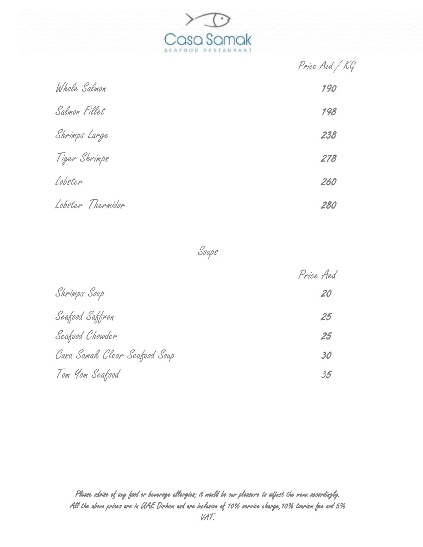

Price Aed / KG

| Whole Salmon      | 190 |
|-------------------|-----|
| Salmon Fillet     | 198 |
| Shrimps Large     | 238 |
| Tiger Shrimps     | 278 |
| Lobster           | 260 |
| Lobster Thermidor | 280 |

Soups

|                               | Price Aed |
|-------------------------------|-----------|
| Shrimps Soup                  | 20        |
| Seafood Saffron               | 25        |
| Seafood Chowder               | 25        |
| Casa Samak Clear Seafood Soup | 30        |
| Tom Yom Seafood               | 35        |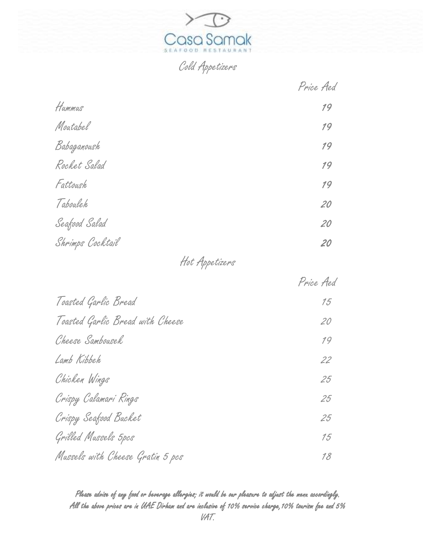

Cold Appetizers

|                  | Price Aed |
|------------------|-----------|
| Hummus           | 19        |
| Moutabel         | 19        |
| Babaganoush      | 19        |
| Rocket Salad     | 19        |
| Fattoush         | 19        |
| Tabouleh         | 20        |
| Seafood Salad    | 20        |
| Shrimps Cocktail | 20        |
|                  |           |

## Hot Appetizers

|                                  | Price Aed |
|----------------------------------|-----------|
| Toasted Garlic Bread             | 15        |
| Toasted Garlic Bread with Cheese | 20        |
| Cheese Sambousek                 | 19        |
| Lamb Kibbeh                      | 22        |
| Chicken Wings                    | 25        |
| Crispy Calamari Rings            | 25        |
| Crispy Seafood Bucket            | 25        |
| Grilled Mussels 5pcs             | 15        |
| Mussels with Cheese Gratin 5 pcs | 18        |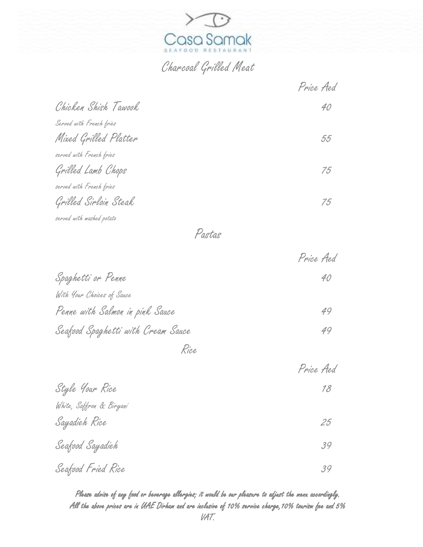

## Charcoal Grilled Meat

|                           | Price Aed |
|---------------------------|-----------|
| Chicken Shish Tawook      | 40        |
| Served with French fries  |           |
| Mixed Grilled Platter     | 55        |
| served with French fries  |           |
| Grilled Lamb Chops        | 75        |
| served with French fries  |           |
| Grilled Sirloin Steak     | 75        |
| served with mashed potato |           |

Pastas

|                                    | Price Aed |
|------------------------------------|-----------|
| Spaghetti or Penne                 | 40        |
| With Your Choices of Sauce         |           |
| Penne with Salmon in pink Sauce    | 49        |
| Seafood Spaghetti with Cream Sauce | 49        |
|                                    |           |

Rice

|                          | Price Aed |
|--------------------------|-----------|
| Style Your Rice          | 18        |
| White, Saffron & Biryani |           |
| Sayadieh Rice            | 25        |
| Seafood Sayadieh         | 39        |
| Seafood Fried Rice       | 39        |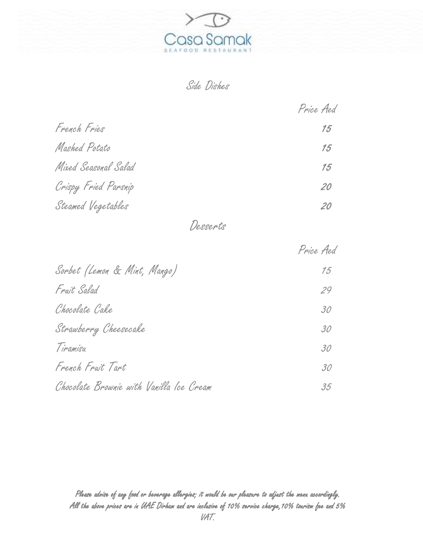

Side Dishes

|                      | Price Aed |
|----------------------|-----------|
| French Fries         | 15        |
| Mashed Potato        | 15        |
| Mixed Seasonal Salad | 15        |
| Crispy Fried Parsnip | 20        |
| Steamed Vegetables   | 20        |

Desserts

|                                          | Price Aed |
|------------------------------------------|-----------|
| Sorbet (Lemon & Mint, Mango)             | 15        |
| Fruit Salad                              | 29        |
| Chocolate Cake                           | 30        |
| Strawberry Cheesecake                    | 30        |
| Tiramisu                                 | 30        |
| French Fruit Tart                        | 30        |
| Chocolate Brownie with Vanilla Ice Cream | 35        |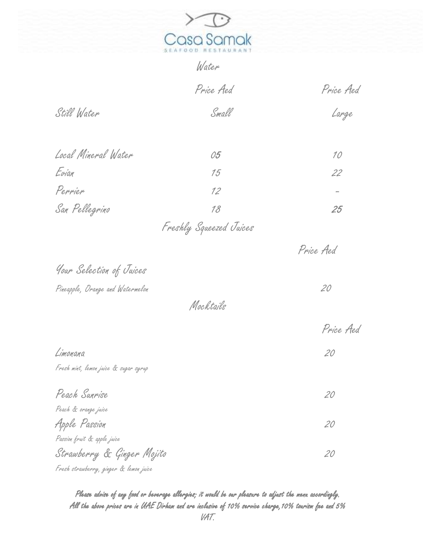

|                                       | Water                   |                 |
|---------------------------------------|-------------------------|-----------------|
|                                       | Price Aed               | Price Aed       |
| Still Water                           | Small                   | Large           |
| Local Mineral Water                   | 05                      | 10 <sup>°</sup> |
| Evian                                 | 15                      | 22              |
| Perrier                               | 12                      | -               |
| San Pellegrino                        | 18                      | 25              |
|                                       | Freshly Squeezed Juices |                 |
|                                       |                         | Price Aed       |
| Your Selection of Juices              |                         |                 |
| Pineapple, Orange and Watermelon      |                         | 20              |
|                                       | Mocktails               |                 |
|                                       |                         | Price Aed       |
| Limonana                              |                         | 20              |
| Fresh mint, lemon juice & sugar syrup |                         |                 |
| Peach Sunrise                         |                         | 20              |
| .<br>Peach & orange juice             |                         |                 |
| Apple Passion                         |                         | 20              |

Strawberry & Ginger Mojito 20 Fresh strawberry, ginger & lemon juice

Passion fruit & apple juice